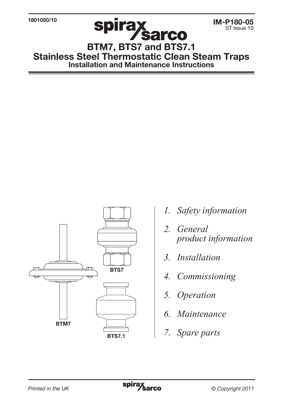1801050/10

IM-P180-05 ST Issue 10

# **Spirax<br>BTM7, BTS7 and BTS7.1** Stainless Steel Thermostatic Clean Steam Traps Installation and Maintenance Instructions



- *1. Safety information*
- *2. General product information*
- *3. Installation*
- *4. Commissioning*
- *5. Operation*
- *6. Maintenance*
- *7. Spare parts*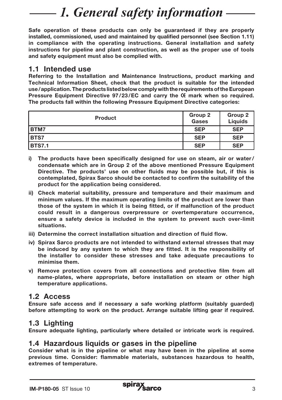## *1. General safety information*

Safe operation of these products can only be guaranteed if they are properly installed, commissioned, used and maintained by qualified personnel (see Section 1.11) in compliance with the operating instructions. General installation and safety instructions for pipeline and plant construction, as well as the proper use of tools and safety equipment must also be complied with.

### 1.1 Intended use

Referring to the Installation and Maintenance Instructions, product marking and Technical Information Sheet, check that the product is suitable for the intended use/application. The products listed below comply with the requirements of the European Pressure Equipment Directive 97/23/EC and carry the CE mark when so required. The products fall within the following Pressure Equipment Directive categories:

| <b>Product</b> | Group 2<br>Gases | Group 2<br>Liquids |
|----------------|------------------|--------------------|
| <b>IBTM7</b>   | <b>SEP</b>       | <b>SEP</b>         |
| BTS7           | <b>SEP</b>       | <b>SEP</b>         |
| <b>BTS7.1</b>  | <b>SEP</b>       | <b>SEP</b>         |

- i) The products have been specifically designed for use on steam, air or water/ condensate which are in Group 2 of the above mentioned Pressure Equipment Directive. The products' use on other fluids may be possible but, if this is contemplated, Spirax Sarco should be contacted to confirm the suitability of the product for the application being considered.
- ii) Check material suitability, pressure and temperature and their maximum and minimum values. If the maximum operating limits of the product are lower than those of the system in which it is being fitted, or if malfunction of the product could result in a dangerous overpressure or overtemperature occurrence, ensure a safety device is included in the system to prevent such over-limit situations.
- iii) Determine the correct installation situation and direction of fluid flow.
- iv) Spirax Sarco products are not intended to withstand external stresses that may be induced by any system to which they are fitted. It is the responsibility of the installer to consider these stresses and take adequate precautions to minimise them.
- v) Remove protection covers from all connections and protective film from all name-plates, where appropriate, before installation on steam or other high temperature applications.

## 1.2 Access

Ensure safe access and if necessary a safe working platform (suitably guarded) before attempting to work on the product. Arrange suitable lifting gear if required.

## 1.3 Lighting

Ensure adequate lighting, particularly where detailed or intricate work is required.

### 1.4 Hazardous liquids or gases in the pipeline

Consider what is in the pipeline or what may have been in the pipeline at some previous time. Consider: flammable materials, substances hazardous to health, extremes of temperature.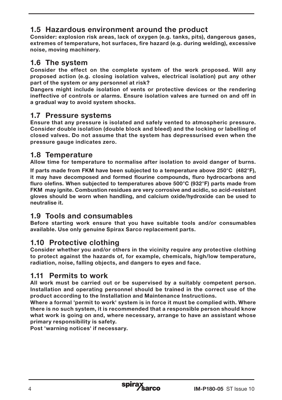## 1.5 Hazardous environment around the product

Consider: explosion risk areas, lack of oxygen (e.g. tanks, pits), dangerous gases, extremes of temperature, hot surfaces, fire hazard (e.g. during welding), excessive noise, moving machinery.

## 1.6 The system

Consider the effect on the complete system of the work proposed. Will any proposed action (e.g. closing isolation valves, electrical isolation) put any other part of the system or any personnel at risk?

Dangers might include isolation of vents or protective devices or the rendering ineffective of controls or alarms. Ensure isolation valves are turned on and off in a gradual way to avoid system shocks.

### 1.7 Pressure systems

Ensure that any pressure is isolated and safely vented to atmospheric pressure. Consider double isolation (double block and bleed) and the locking or labelling of closed valves. Do not assume that the system has depressurised even when the pressure gauge indicates zero.

## 1.8 Temperature

Allow time for temperature to normalise after isolation to avoid danger of burns.

If parts made from FKM have been subjected to a temperature above 250°C (482°F), it may have decomposed and formed flourine compounds, fluro hydrocarbons and fluro olefins. When subjected to temperatures above 500°C (932°F) parts made from FKM may ignite. Combustion residues are very corrosive and acidic, so acid-resistant gloves should be worn when handling, and calcium oxide/hydroxide can be used to neutralise it.

### 1.9 Tools and consumables

Before starting work ensure that you have suitable tools and/or consumables available. Use only genuine Spirax Sarco replacement parts.

### 1.10 Protective clothing

Consider whether you and/or others in the vicinity require any protective clothing to protect against the hazards of, for example, chemicals, high/low temperature, radiation, noise, falling objects, and dangers to eyes and face.

### 1.11 Permits to work

All work must be carried out or be supervised by a suitably competent person. Installation and operating personnel should be trained in the correct use of the product according to the Installation and Maintenance Instructions.

Where a formal 'permit to work' system is in force it must be complied with. Where there is no such system, it is recommended that a responsible person should know what work is going on and, where necessary, arrange to have an assistant whose primary responsibility is safety.

Post 'warning notices' if necessary.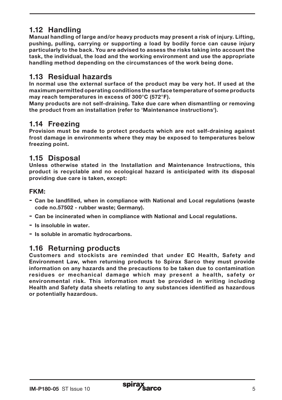## 1.12 Handling

Manual handling of large and/or heavy products may present a risk of injury. Lifting, pushing, pulling, carrying or supporting a load by bodily force can cause injury particularly to the back. You are advised to assess the risks taking into account the task, the individual, the load and the working environment and use the appropriate handling method depending on the circumstances of the work being done.

## 1.13 Residual hazards

In normal use the external surface of the product may be very hot. If used at the maximum permitted operating conditions the surface temperature of some products may reach temperatures in excess of 300°C (572°F).

Many products are not self-draining. Take due care when dismantling or removing the product from an installation (refer to 'Maintenance instructions').

## 1.14 Freezing

Provision must be made to protect products which are not self-draining against frost damage in environments where they may be exposed to temperatures below freezing point.

## 1.15 Disposal

Unless otherwise stated in the Installation and Maintenance Instructions, this product is recyclable and no ecological hazard is anticipated with its disposal providing due care is taken, except:

#### FKM:

- Can be landfilled, when in compliance with National and Local regulations (waste code no.57502 - rubber waste; Germany).
- Can be incinerated when in compliance with National and Local regulations.
- Is insoluble in water.
- Is soluble in aromatic hydrocarbons.

## 1.16 Returning products

Customers and stockists are reminded that under EC Health, Safety and Environment Law, when returning products to Spirax Sarco they must provide information on any hazards and the precautions to be taken due to contamination residues or mechanical damage which may present a health, safety or environmental risk. This information must be provided in writing including Health and Safety data sheets relating to any substances identified as hazardous or potentially hazardous.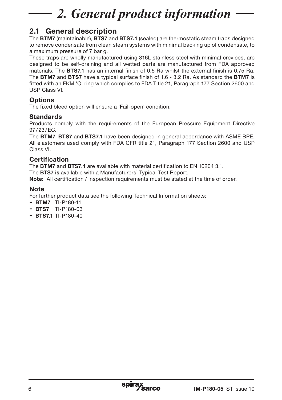## *2. General product information*

## 2.1 General description

The **BTM7** (maintainable), **BTS7** and **BTS7.1** (sealed) are thermostatic steam traps designed to remove condensate from clean steam systems with minimal backing up of condensate, to a maximum pressure of 7 bar g.

These traps are wholly manufactured using 316L stainless steel with minimal crevices, are designed to be self-draining and all wetted parts are manufactured from FDA approved materials. The **BTS7.1** has an internal finish of 0.5 Ra whilst the external finish is 0.75 Ra. The BTM7 and BTS7 have a typical surface finish of 1.6 - 3.2 Ra. As standard the BTM7 is fitted with an FKM 'O' ring which complies to FDA Title 21, Paragraph 177 Section 2600 and USP Class VI.

#### **Options**

The fixed bleed option will ensure a 'Fail-open' condition.

#### **Standards**

Products comply with the requirements of the European Pressure Equipment Directive 97/23/EC.

The BTM7, BTS7 and BTS7.1 have been designed in general accordance with ASME BPE. All elastomers used comply with FDA CFR title 21, Paragraph 177 Section 2600 and USP Class VI.

#### Certification

The BTM7 and BTS7.1 are available with material certification to EN 10204 3.1.

The BTS7 is available with a Manufacturers' Typical Test Report.

Note: All certification / inspection requirements must be stated at the time of order.

#### **Note**

For further product data see the following Technical Information sheets:

- BTM7 TI-P180-11
- BTS7 TI-P180-03
- BTS7.1 TI-P180-40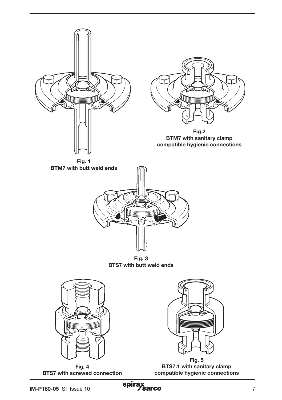

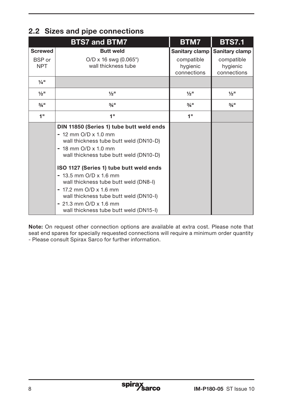|  |  |  |  | 2.2 Sizes and pipe connections |
|--|--|--|--|--------------------------------|
|--|--|--|--|--------------------------------|

|                             | <b>BTS7 and BTM7</b>                                                                                                                                                                                                                                                                                                                                                                                                                                                       | BTM7                                  | <b>BTS7.1</b>                         |
|-----------------------------|----------------------------------------------------------------------------------------------------------------------------------------------------------------------------------------------------------------------------------------------------------------------------------------------------------------------------------------------------------------------------------------------------------------------------------------------------------------------------|---------------------------------------|---------------------------------------|
| <b>Screwed</b>              | <b>Butt weld</b>                                                                                                                                                                                                                                                                                                                                                                                                                                                           | Sanitary clamp                        | Sanitary clamp                        |
| <b>BSP</b> or<br><b>NPT</b> | $O/D \times 16$ swg (0.065")<br>wall thickness tube                                                                                                                                                                                                                                                                                                                                                                                                                        | compatible<br>hygienic<br>connections | compatible<br>hygienic<br>connections |
| $1/4$ <sup>11</sup>         |                                                                                                                                                                                                                                                                                                                                                                                                                                                                            |                                       |                                       |
| $\frac{1}{2}$ <sup>11</sup> | $1/2$ <sup>11</sup>                                                                                                                                                                                                                                                                                                                                                                                                                                                        | $1/2$ <sup>11</sup>                   | $1/2$ <sup>11</sup>                   |
| $3/4$ <sup>11</sup>         | $3/4$ <sup>11</sup>                                                                                                                                                                                                                                                                                                                                                                                                                                                        | $3/4$ <sup>11</sup>                   | $3/4$ <sup>II</sup>                   |
| 1"                          | 1"                                                                                                                                                                                                                                                                                                                                                                                                                                                                         | 1"                                    |                                       |
|                             | DIN 11850 (Series 1) tube butt weld ends<br>$-12$ mm $O/D \times 1.0$ mm<br>wall thickness tube butt weld (DN10-D)<br>$-18$ mm $O/D \times 1.0$ mm<br>wall thickness tube butt weld (DN10-D)<br>ISO 1127 (Series 1) tube butt weld ends<br>$-13.5$ mm $O/D \times 1.6$ mm<br>wall thickness tube butt weld (DN8-I)<br>$-17.2$ mm $O/D \times 1.6$ mm<br>wall thickness tube butt weld (DN10-I)<br>$-21.3$ mm $O/D \times 1.6$ mm<br>wall thickness tube butt weld (DN15-I) |                                       |                                       |

Note: On request other connection options are available at extra cost. Please note that seat end spares for specially requested connections will require a minimum order quantity - Please consult Spirax Sarco for further information.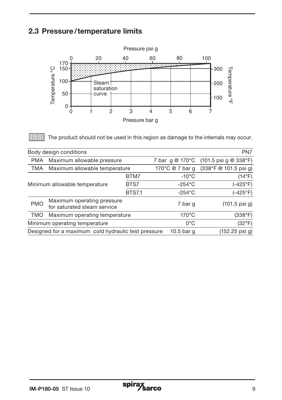## 2.3 Pressure/temperature limits



mini The product should not be used in this region as damage to the internals may occur.

|                                                     | Body design conditions                                    |               |                            | PN7                                          |
|-----------------------------------------------------|-----------------------------------------------------------|---------------|----------------------------|----------------------------------------------|
|                                                     | PMA Maximum allowable pressure                            |               |                            | 7 bar g @ 170°C (101.5 psi g @ 338°F)        |
|                                                     | TMA Maximum allowable temperature                         |               | 170 $^{\circ}$ C @ 7 bar g | $(338^{\circ}F \otimes 101.5 \text{ psi q})$ |
| Minimum allowable temperature                       |                                                           | BTM7          | $-10^{\circ}$ C            | $(14^{\circ}F)$                              |
|                                                     |                                                           | BTS7          | $-254$ °C                  | (-425°F)                                     |
|                                                     |                                                           | <b>BTS7.1</b> | $-254^{\circ}$ C           | $(-425^{\circ}F)$                            |
| <b>PMO</b>                                          | Maximum operating pressure<br>for saturated steam service |               | 7 bar q                    | $(101.5 \text{ psi g})$                      |
| TMO                                                 | Maximum operating temperature                             |               | $170^{\circ}$ C            | (338°F)                                      |
|                                                     | Minimum operating temperature                             |               | $0^{\circ}$ C              | (32°F)                                       |
| Designed for a maximum cold hydraulic test pressure |                                                           |               | 10.5 bar q                 | (152.25 psi g)                               |
|                                                     |                                                           |               |                            |                                              |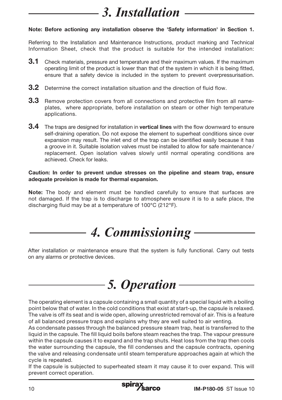## *3. Installation*

#### Note: Before actioning any installation observe the 'Safety information' in Section 1.

Referring to the Installation and Maintenance Instructions, product marking and Technical Information Sheet, check that the product is suitable for the intended installation:

- **3.1** Check materials, pressure and temperature and their maximum values. If the maximum operating limit of the product is lower than that of the system in which it is being fitted, ensure that a safety device is included in the system to prevent overpressurisation.
- 3.2 Determine the correct installation situation and the direction of fluid flow.
- 3.3 Remove protection covers from all connections and protective film from all nameplates, where appropriate, before installation on steam or other high temperature applications.
- **3.4** The traps are designed for installation in vertical lines with the flow downward to ensure self-draining operation. Do not expose the element to superheat conditions since over expansion may result. The inlet end of the trap can be identified easily because it has a groove in it. Suitable isolation valves must be installed to allow for safe maintenance / replacement. Open isolation valves slowly until normal operating conditions are achieved. Check for leaks.

#### Caution: In order to prevent undue stresses on the pipeline and steam trap, ensure adequate provision is made for thermal expansion.

Note: The body and element must be handled carefully to ensure that surfaces are not damaged. If the trap is to discharge to atmosphere ensure it is to a safe place, the discharging fluid may be at a temperature of 100°C (212°F).

## *4. Commissioning*

After installation or maintenance ensure that the system is fully functional. Carry out tests on any alarms or protective devices.

## *5. Operation*

The operating element is a capsule containing a small quantity of a special liquid with a boiling point below that of water. In the cold conditions that exist at start-up, the capsule is relaxed. The valve is off its seat and is wide open, allowing unrestricted removal of air. This is a feature of all balanced pressure traps and explains why they are well suited to air venting.

As condensate passes through the balanced pressure steam trap, heat is transferred to the liquid in the capsule. The fill liquid boils before steam reaches the trap. The vapour pressure within the capsule causes it to expand and the trap shuts. Heat loss from the trap then cools the water surrounding the capsule, the fill condenses and the capsule contracts, opening the valve and releasing condensate until steam temperature approaches again at which the cycle is repeated.

If the capsule is subjected to superheated steam it may cause it to over expand. This will prevent correct operation.

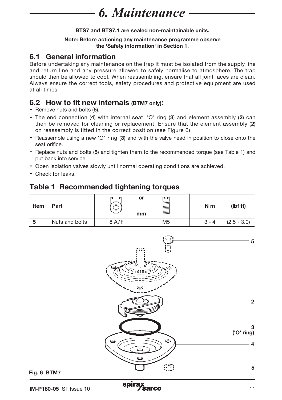## *6. Maintenance*

#### BTS7 and BTS7.1 are sealed non-maintainable units.

#### Note: Before actioning any maintenance programme observe the 'Safety information' in Section 1.

### 6.1 General information

Before undertaking any maintenance on the trap it must be isolated from the supply line and return line and any pressure allowed to safely normalise to atmosphere. The trap should then be allowed to cool. When reassembling, ensure that all joint faces are clean. Always ensure the correct tools, safety procedures and protective equipment are used at all times.

## **6.2 How to fit new internals (BTM7 only):** - Remove nuts and bolts (5).

- 
- The end connection (4) with internal seat, 'O' ring (3) and element assembly (2) can then be removed for cleaning or replacement. Ensure that the element assembly (2) on reassembly is fitted in the correct position (see Figure 6).
- Reassemble using a new 'O' ring (3) and with the valve head in position to close onto the seat orifice.
- Replace nuts and bolts (5) and tighten them to the recommended torque (see Table 1) and put back into service.
- Open isolation valves slowly until normal operating conditions are achieved.
- Check for leaks.

## Table 1 Recommended tightening torques

| Item | Part           | @<br>V<br>◡ | or<br>mm | ⊷              | N <sub>m</sub> | (lbf ft)      |
|------|----------------|-------------|----------|----------------|----------------|---------------|
| 5    | Nuts and bolts | 8A/F        |          | M <sub>5</sub> | $3 - 4$        | $(2.5 - 3.0)$ |